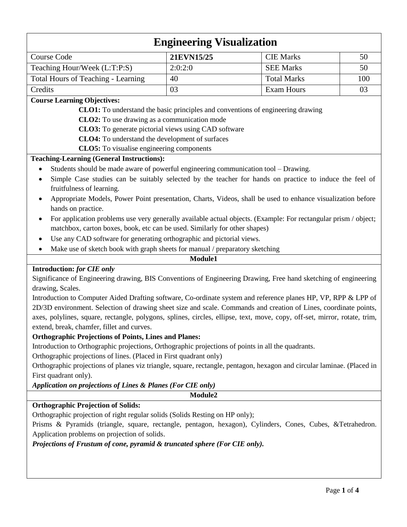# **Engineering Visualization** Course Code 21EVN15/25 CIE Marks 50 Teaching Hour/Week  $(L:T.P.S)$   $2:0:2:0$  SEE Marks 50 Total Hours of Teaching - Learning 40 Total Marks 100 Credits 103 and Exam Hours 103 **Course Learning Objectives: CLO1:** To understand the basic principles and conventions of engineering drawing  **CLO2:** To use drawing as a communication mode  **CLO3:** To generate pictorial views using CAD software  **CLO4:** To understand the development of surfaces  **CLO5:** To visualise engineering components **Teaching-Learning (General Instructions):** Students should be made aware of powerful engineering communication tool – Drawing. Simple Case studies can be suitably selected by the teacher for hands on practice to induce the feel of fruitfulness of learning. Appropriate Models, Power Point presentation, Charts, Videos, shall be used to enhance visualization before hands on practice. • For application problems use very generally available actual objects. (Example: For rectangular prism / object; matchbox, carton boxes, book, etc can be used. Similarly for other shapes) Use any CAD software for generating orthographic and pictorial views. Make use of sketch book with graph sheets for manual / preparatory sketching **Module1 Introduction:** *for CIE only* Significance of Engineering drawing, BIS Conventions of Engineering Drawing, Free hand sketching of engineering drawing, Scales. Introduction to Computer Aided Drafting software, Co-ordinate system and reference planes HP, VP, RPP & LPP of 2D/3D environment. Selection of drawing sheet size and scale. Commands and creation of Lines, coordinate points, axes, polylines, square, rectangle, polygons, splines, circles, ellipse, text, move, copy, off-set, mirror, rotate, trim, extend, break, chamfer, fillet and curves. **Orthographic Projections of Points, Lines and Planes:** Introduction to Orthographic projections, Orthographic projections of points in all the quadrants. Orthographic projections of lines. (Placed in First quadrant only) Orthographic projections of planes viz triangle, square, rectangle, pentagon, hexagon and circular laminae. (Placed in First quadrant only).

*Application on projections of Lines & Planes (For CIE only)*

**Module2**

## **Orthographic Projection of Solids:**

Orthographic projection of right regular solids (Solids Resting on HP only);

Prisms & Pyramids (triangle, square, rectangle, pentagon, hexagon), Cylinders, Cones, Cubes, &Tetrahedron. Application problems on projection of solids.

*Projections of Frustum of cone, pyramid & truncated sphere (For CIE only).*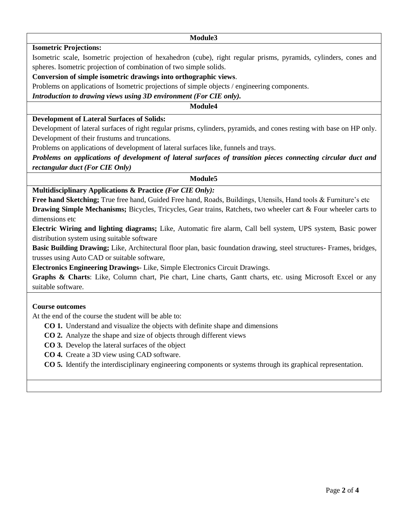#### **Module3**

**Isometric Projections:**

Isometric scale, Isometric projection of hexahedron (cube), right regular prisms, pyramids, cylinders, cones and spheres. Isometric projection of combination of two simple solids.

## **Conversion of simple isometric drawings into orthographic views**.

Problems on applications of Isometric projections of simple objects / engineering components.

*Introduction to drawing views using 3D environment (For CIE only).*

### **Module4**

## **Development of Lateral Surfaces of Solids:**

Development of lateral surfaces of right regular prisms, cylinders, pyramids, and cones resting with base on HP only. Development of their frustums and truncations.

Problems on applications of development of lateral surfaces like, funnels and trays.

*Problems on applications of development of lateral surfaces of transition pieces connecting circular duct and rectangular duct (For CIE Only)*

#### **Module5**

## **Multidisciplinary Applications & Practice** *(For CIE Only):*

**Free hand Sketching;** True free hand, Guided Free hand, Roads, Buildings, Utensils, Hand tools & Furniture's etc **Drawing Simple Mechanisms;** Bicycles, Tricycles, Gear trains, Ratchets, two wheeler cart & Four wheeler carts to dimensions etc

**Electric Wiring and lighting diagrams;** Like, Automatic fire alarm, Call bell system, UPS system, Basic power distribution system using suitable software

**Basic Building Drawing;** Like, Architectural floor plan, basic foundation drawing, steel structures- Frames, bridges, trusses using Auto CAD or suitable software,

**Electronics Engineering Drawings**- Like, Simple Electronics Circuit Drawings.

**Graphs & Charts**: Like, Column chart, Pie chart, Line charts, Gantt charts, etc. using Microsoft Excel or any suitable software.

#### **Course outcomes**

At the end of the course the student will be able to:

- **CO 1.** Understand and visualize the objects with definite shape and dimensions
- **CO 2.** Analyze the shape and size of objects through different views
- **CO 3.** Develop the lateral surfaces of the object
- **CO 4.** Create a 3D view using CAD software.

**CO 5.** Identify the interdisciplinary engineering components or systems through its graphical representation.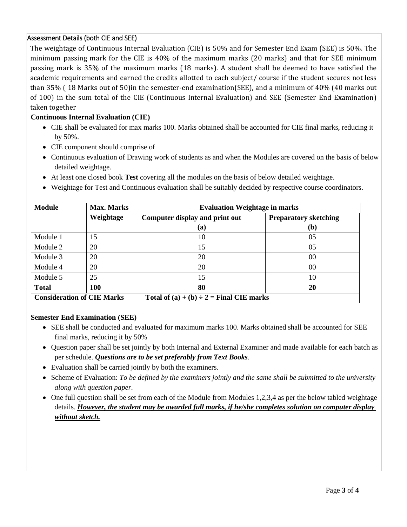## Assessment Details (both CIE and SEE)

The weightage of Continuous Internal Evaluation (CIE) is 50% and for Semester End Exam (SEE) is 50%. The minimum passing mark for the CIE is 40% of the maximum marks (20 marks) and that for SEE minimum passing mark is 35% of the maximum marks (18 marks). A student shall be deemed to have satisfied the academic requirements and earned the credits allotted to each subject/ course if the student secures not less than 35% ( 18 Marks out of 50)in the semester-end examination(SEE), and a minimum of 40% (40 marks out of 100) in the sum total of the CIE (Continuous Internal Evaluation) and SEE (Semester End Examination) taken together

## **Continuous Internal Evaluation (CIE)**

- CIE shall be evaluated for max marks 100. Marks obtained shall be accounted for CIE final marks, reducing it by 50%.
- CIE component should comprise of
- Continuous evaluation of Drawing work of students as and when the Modules are covered on the basis of below detailed weightage.
- At least one closed book **Test** covering all the modules on the basis of below detailed weightage.
- Weightage for Test and Continuous evaluation shall be suitably decided by respective course coordinators.

| <b>Module</b>                     | <b>Max. Marks</b> | <b>Evaluation Weightage in marks</b>          |                              |
|-----------------------------------|-------------------|-----------------------------------------------|------------------------------|
|                                   | Weightage         | Computer display and print out                | <b>Preparatory sketching</b> |
|                                   |                   | (a)                                           | (b)                          |
| Module 1                          | 15                | 10                                            | 05                           |
| Module 2                          | 20                | 15                                            | 05                           |
| Module 3                          | 20                | 20                                            | 00                           |
| Module 4                          | 20                | 20                                            | 00                           |
| Module 5                          | 25                | 15                                            | 10                           |
| <b>Total</b>                      | <b>100</b>        | 80                                            | 20                           |
| <b>Consideration of CIE Marks</b> |                   | Total of $(a) + (b) \div 2 =$ Final CIE marks |                              |

#### **Semester End Examination (SEE)**

- SEE shall be conducted and evaluated for maximum marks 100. Marks obtained shall be accounted for SEE final marks, reducing it by 50%
- Question paper shall be set jointly by both Internal and External Examiner and made available for each batch as per schedule. *Questions are to be set preferably from Text Books*.
- Evaluation shall be carried jointly by both the examiners.
- Scheme of Evaluation: *To be defined by the examiners jointly and the same shall be submitted to the university along with question paper.*
- One full question shall be set from each of the Module from Modules 1,2,3,4 as per the below tabled weightage details. *However, the student may be awarded full marks, if he/she completes solution on computer display without sketch.*